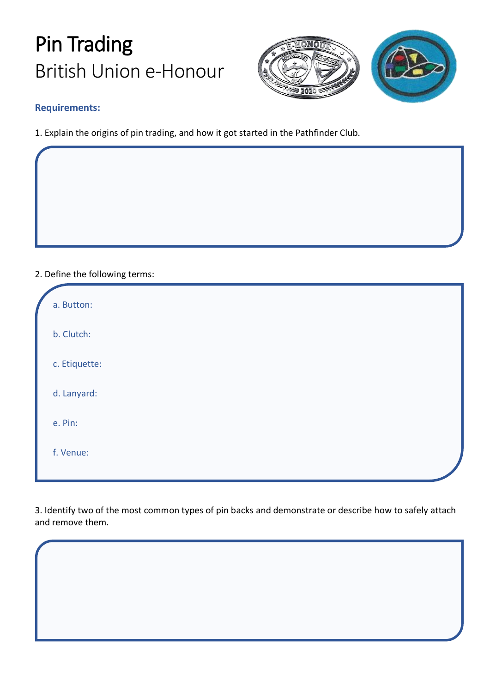## Pin Trading British Union e-Honour



## **Requirements:**

1. Explain the origins of pin trading, and how it got started in the Pathfinder Club.

## 2. Define the following terms:

| a. Button:    |  |
|---------------|--|
| b. Clutch:    |  |
| c. Etiquette: |  |
| d. Lanyard:   |  |
| e. Pin:       |  |
| f. Venue:     |  |

3. Identify two of the most common types of pin backs and demonstrate or describe how to safely attach and remove them.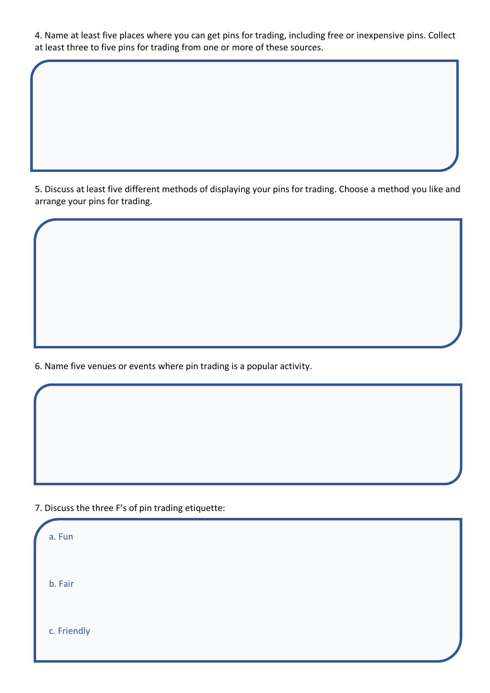4. Name at least five places where you can get pins for trading, including free or inexpensive pins. Collect at least three to five pins for trading from one or more of these sources.

5. Discuss at least five different methods of displaying your pins for trading. Choose a method you like and arrange your pins for trading.

6. Name five venues or events where pin trading is a popular activity.

7. Discuss the three F's of pin trading etiquette:

| a. Fun      |  |
|-------------|--|
| b. Fair     |  |
| c. Friendly |  |